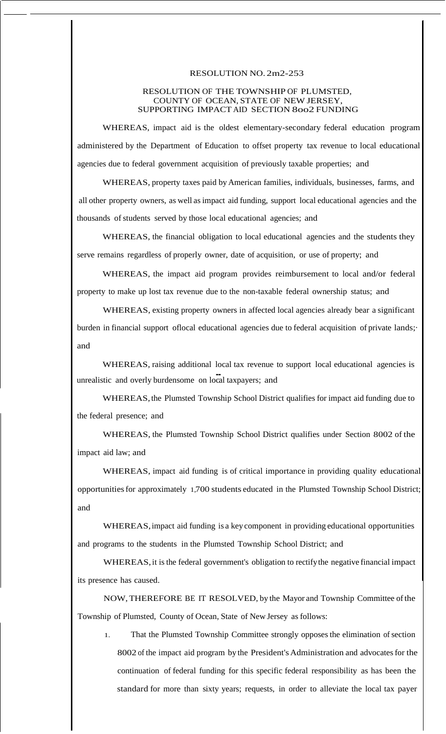## RESOLUTION NO. 2m2-253

## RESOLUTION OF THE TOWNSHIP OF PLUMSTED, COUNTY OF OCEAN, STATE OF NEW JERSEY, SUPPORTING IMPACT AID SECTION 8oo2 FUNDING

WHEREAS, impact aid is the oldest elementary-secondary federal education program administered by the Department of Education to offset property tax revenue to local educational agencies due to federal government acquisition of previously taxable properties; and

WHEREAS, property taxes paid by American families, individuals, businesses, farms, and all other property owners, as well asimpact aid funding, support local educational agencies and the thousands of students served by those local educational agencies; and

WHEREAS, the financial obligation to local educational agencies and the students they serve remains regardless of properly owner, date of acquisition, or use of property; and

WHEREAS, the impact aid program provides reimbursement to local and/or federal property to make up lost tax revenue due to the non-taxable federal ownership status; and

WHEREAS, existing property owners in affected local agencies already bear a significant burden in financial support oflocal educational agencies due to federal acquisition of private lands;· and

WHEREAS, raising additional local tax revenue to support local educational agencies is unrealistic and overly burdensome on local taxpayers; and

WHEREAS,the Plumsted Township School District qualifies for impact aid funding due to the federal presence; and

WHEREAS, the Plumsted Township School District qualifies under Section 8002 of the impact aid law; and

WHEREAS, impact aid funding is of critical importance in providing quality educational opportunitiesfor approximately 1,700 students educated in the Plumsted Township School District; and

WHEREAS,impact aid funding is a key component in providing educational opportunities and programs to the students in the Plumsted Township School District; and

WHEREAS, it is the federal government's obligation to rectify the negative financial impact its presence has caused.

NOW,THEREFORE BE IT RESOLVED, by the Mayor and Township Committee ofthe Township of Plumsted, County of Ocean, State of New Jersey as follows:

1. That the Plumsted Township Committee strongly opposes the elimination of section 8002 of the impact aid program by the President's Administration and advocates for the continuation of federal funding for this specific federal responsibility as has been the standard for more than sixty years; requests, in order to alleviate the local tax payer